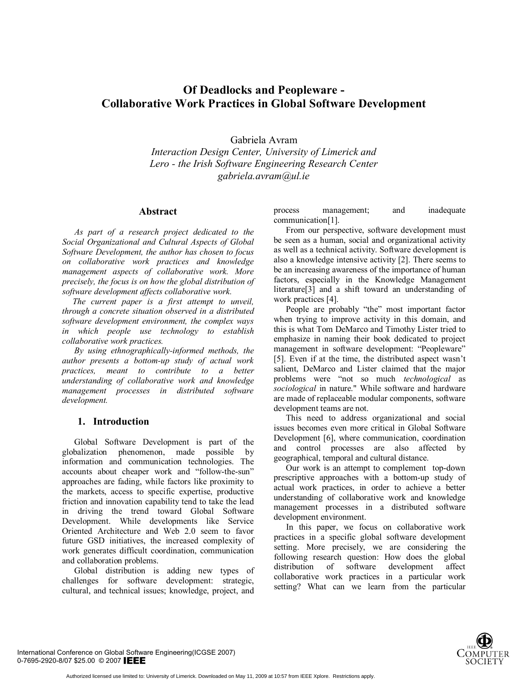# **Of Deadlocks and Peopleware - Collaborative Work Practices in Global Software Development**

Gabriela Avram

*Interaction Design Center, University of Limerick and Lero - the Irish Software Engineering Research Center gabriela.avram@ul.ie* 

#### **Abstract**

*As part of a research project dedicated to the Social Organizational and Cultural Aspects of Global Software Development, the author has chosen to focus on collaborative work practices and knowledge management aspects of collaborative work. More precisely, the focus is on how the global distribution of software development affects collaborative work.* 

*The current paper is a first attempt to unveil, through a concrete situation observed in a distributed software development environment, the complex ways in which people use technology to establish collaborative work practices.* 

*By using ethnographically-informed methods, the author presents a bottom-up study of actual work practices, meant to contribute to a better understanding of collaborative work and knowledge management processes in distributed software development.* 

### **1. Introduction**

Global Software Development is part of the globalization phenomenon, made possible by information and communication technologies. The accounts about cheaper work and "follow-the-sun" approaches are fading, while factors like proximity to the markets, access to specific expertise, productive friction and innovation capability tend to take the lead in driving the trend toward Global Software Development. While developments like Service Oriented Architecture and Web 2.0 seem to favor future GSD initiatives, the increased complexity of work generates difficult coordination, communication and collaboration problems.

Global distribution is adding new types of challenges for software development: strategic, cultural, and technical issues; knowledge, project, and process management; and inadequate communication[1].

From our perspective, software development must be seen as a human, social and organizational activity as well as a technical activity. Software development is also a knowledge intensive activity [2]. There seems to be an increasing awareness of the importance of human factors, especially in the Knowledge Management literature[3] and a shift toward an understanding of work practices [4].

People are probably "the" most important factor when trying to improve activity in this domain, and this is what Tom DeMarco and Timothy Lister tried to emphasize in naming their book dedicated to project management in software development: "Peopleware" [5]. Even if at the time, the distributed aspect wasn't salient, DeMarco and Lister claimed that the major problems were "not so much *technological* as *sociological* in nature." While software and hardware are made of replaceable modular components, software development teams are not.

This need to address organizational and social issues becomes even more critical in Global Software Development [6], where communication, coordination and control processes are also affected by geographical, temporal and cultural distance.

Our work is an attempt to complement top-down prescriptive approaches with a bottom-up study of actual work practices, in order to achieve a better understanding of collaborative work and knowledge management processes in a distributed software development environment.

In this paper, we focus on collaborative work practices in a specific global software development setting. More precisely, we are considering the following research question: How does the global distribution of software development affect collaborative work practices in a particular work setting? What can we learn from the particular

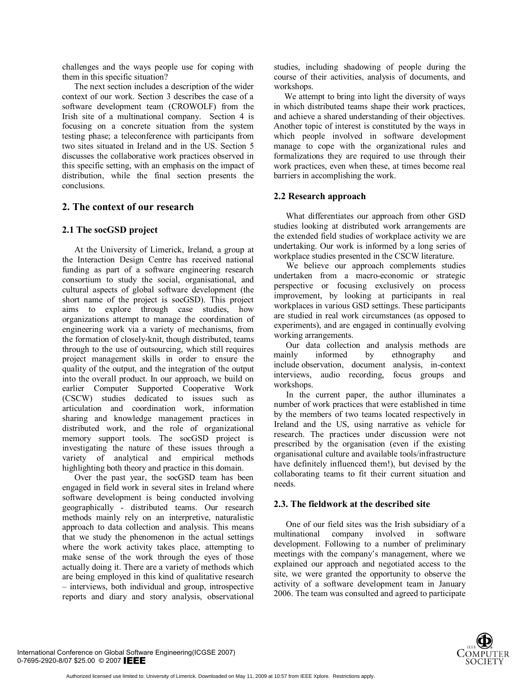challenges and the ways people use for coping with them in this specific situation?

The next section includes a description of the wider context of our work. Section 3 describes the case of a software development team (CROWOLF) from the Irish site of a multinational company. Section 4 is focusing on a concrete situation from the system testing phase; a teleconference with participants from two sites situated in Ireland and in the US. Section 5 discusses the collaborative work practices observed in this specific setting, with an emphasis on the impact of distribution, while the final section presents the conclusions.

# **2. The context of our research**

# **2.1 The socGSD project**

At the University of Limerick, Ireland, a group at the Interaction Design Centre has received national funding as part of a software engineering research consortium to study the social, organisational, and cultural aspects of global software development (the short name of the project is socGSD). This project aims to explore through case studies, how organizations attempt to manage the coordination of engineering work via a variety of mechanisms, from the formation of closely-knit, though distributed, teams through to the use of outsourcing, which still requires project management skills in order to ensure the quality of the output, and the integration of the output into the overall product. In our approach, we build on earlier Computer Supported Cooperative Work (CSCW) studies dedicated to issues such as articulation and coordination work, information sharing and knowledge management practices in distributed work, and the role of organizational memory support tools. The socGSD project is investigating the nature of these issues through a variety of analytical and empirical methods highlighting both theory and practice in this domain.

Over the past year, the socGSD team has been engaged in field work in several sites in Ireland where software development is being conducted involving geographically - distributed teams. Our research methods mainly rely on an interpretive, naturalistic approach to data collection and analysis. This means that we study the phenomenon in the actual settings where the work activity takes place, attempting to make sense of the work through the eyes of those actually doing it. There are a variety of methods which are being employed in this kind of qualitative research – interviews, both individual and group, introspective reports and diary and story analysis, observational studies, including shadowing of people during the course of their activities, analysis of documents, and workshops.

We attempt to bring into light the diversity of ways in which distributed teams shape their work practices, and achieve a shared understanding of their objectives. Another topic of interest is constituted by the ways in which people involved in software development manage to cope with the organizational rules and formalizations they are required to use through their work practices, even when these, at times become real barriers in accomplishing the work.

# **2.2 Research approach**

What differentiates our approach from other GSD studies looking at distributed work arrangements are the extended field studies of workplace activity we are undertaking. Our work is informed by a long series of workplace studies presented in the CSCW literature.

We believe our approach complements studies undertaken from a macro-economic or strategic perspective or focusing exclusively on process improvement, by looking at participants in real workplaces in various GSD settings. These participants are studied in real work circumstances (as opposed to experiments), and are engaged in continually evolving working arrangements.

Our data collection and analysis methods are mainly informed by ethnography and include observation, document analysis, in-context interviews, audio recording, focus groups and workshops.

In the current paper, the author illuminates a number of work practices that were established in time by the members of two teams located respectively in Ireland and the US, using narrative as vehicle for research. The practices under discussion were not prescribed by the organisation (even if the existing organisational culture and available tools/infrastructure have definitely influenced them!), but devised by the collaborating teams to fit their current situation and needs.

# **2.3. The fieldwork at the described site**

One of our field sites was the Irish subsidiary of a multinational company involved in software development. Following to a number of preliminary meetings with the company's management, where we explained our approach and negotiated access to the site, we were granted the opportunity to observe the activity of a software development team in January 2006. The team was consulted and agreed to participate

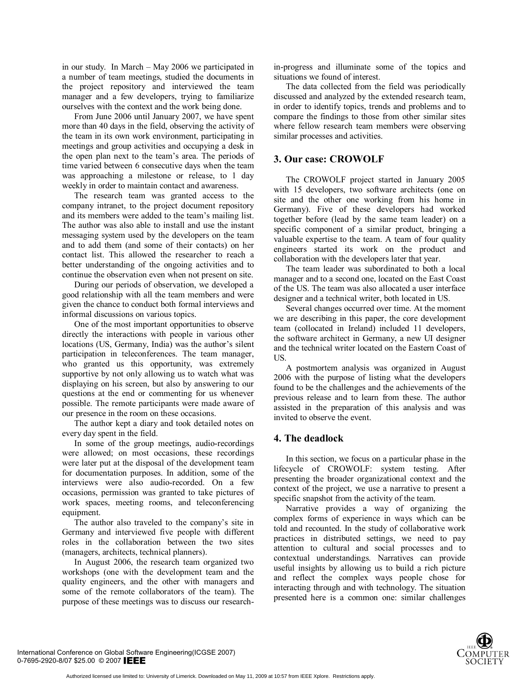in our study. In March – May 2006 we participated in a number of team meetings, studied the documents in the project repository and interviewed the team manager and a few developers, trying to familiarize ourselves with the context and the work being done.

From June 2006 until January 2007, we have spent more than 40 days in the field, observing the activity of the team in its own work environment, participating in meetings and group activities and occupying a desk in the open plan next to the team's area. The periods of time varied between 6 consecutive days when the team was approaching a milestone or release, to 1 day weekly in order to maintain contact and awareness.

The research team was granted access to the company intranet, to the project document repository and its members were added to the team's mailing list. The author was also able to install and use the instant messaging system used by the developers on the team and to add them (and some of their contacts) on her contact list. This allowed the researcher to reach a better understanding of the ongoing activities and to continue the observation even when not present on site.

During our periods of observation, we developed a good relationship with all the team members and were given the chance to conduct both formal interviews and informal discussions on various topics.

One of the most important opportunities to observe directly the interactions with people in various other locations (US, Germany, India) was the author's silent participation in teleconferences. The team manager, who granted us this opportunity, was extremely supportive by not only allowing us to watch what was displaying on his screen, but also by answering to our questions at the end or commenting for us whenever possible. The remote participants were made aware of our presence in the room on these occasions.

The author kept a diary and took detailed notes on every day spent in the field.

In some of the group meetings, audio-recordings were allowed; on most occasions, these recordings were later put at the disposal of the development team for documentation purposes. In addition, some of the interviews were also audio-recorded. On a few occasions, permission was granted to take pictures of work spaces, meeting rooms, and teleconferencing equipment.

The author also traveled to the company's site in Germany and interviewed five people with different roles in the collaboration between the two sites (managers, architects, technical planners).

In August 2006, the research team organized two workshops (one with the development team and the quality engineers, and the other with managers and some of the remote collaborators of the team). The purpose of these meetings was to discuss our researchin-progress and illuminate some of the topics and situations we found of interest.

The data collected from the field was periodically discussed and analyzed by the extended research team, in order to identify topics, trends and problems and to compare the findings to those from other similar sites where fellow research team members were observing similar processes and activities.

# **3. Our case: CROWOLF**

The CROWOLF project started in January 2005 with 15 developers, two software architects (one on site and the other one working from his home in Germany). Five of these developers had worked together before (lead by the same team leader) on a specific component of a similar product, bringing a valuable expertise to the team. A team of four quality engineers started its work on the product and collaboration with the developers later that year.

The team leader was subordinated to both a local manager and to a second one, located on the East Coast of the US. The team was also allocated a user interface designer and a technical writer, both located in US.

Several changes occurred over time. At the moment we are describing in this paper, the core development team (collocated in Ireland) included 11 developers, the software architect in Germany, a new UI designer and the technical writer located on the Eastern Coast of US.

A postmortem analysis was organized in August 2006 with the purpose of listing what the developers found to be the challenges and the achievements of the previous release and to learn from these. The author assisted in the preparation of this analysis and was invited to observe the event.

# **4. The deadlock**

In this section, we focus on a particular phase in the lifecycle of CROWOLF: system testing. After presenting the broader organizational context and the context of the project, we use a narrative to present a specific snapshot from the activity of the team.

Narrative provides a way of organizing the complex forms of experience in ways which can be told and recounted. In the study of collaborative work practices in distributed settings, we need to pay attention to cultural and social processes and to contextual understandings. Narratives can provide useful insights by allowing us to build a rich picture and reflect the complex ways people chose for interacting through and with technology. The situation presented here is a common one: similar challenges

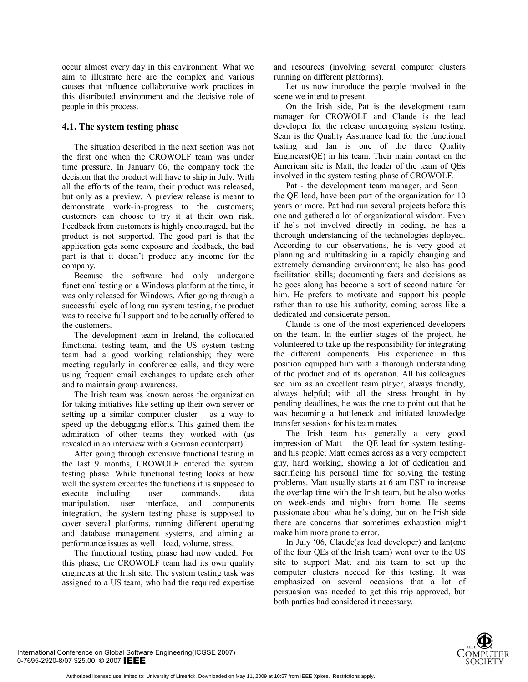occur almost every day in this environment. What we aim to illustrate here are the complex and various causes that influence collaborative work practices in this distributed environment and the decisive role of people in this process.

### **4.1. The system testing phase**

The situation described in the next section was not the first one when the CROWOLF team was under time pressure. In January 06, the company took the decision that the product will have to ship in July. With all the efforts of the team, their product was released, but only as a preview. A preview release is meant to demonstrate work-in-progress to the customers; customers can choose to try it at their own risk. Feedback from customers is highly encouraged, but the product is not supported. The good part is that the application gets some exposure and feedback, the bad part is that it doesn't produce any income for the company.

Because the software had only undergone functional testing on a Windows platform at the time, it was only released for Windows. After going through a successful cycle of long run system testing, the product was to receive full support and to be actually offered to the customers.

The development team in Ireland, the collocated functional testing team, and the US system testing team had a good working relationship; they were meeting regularly in conference calls, and they were using frequent email exchanges to update each other and to maintain group awareness.

The Irish team was known across the organization for taking initiatives like setting up their own server or setting up a similar computer cluster – as a way to speed up the debugging efforts. This gained them the admiration of other teams they worked with (as revealed in an interview with a German counterpart).

After going through extensive functional testing in the last 9 months, CROWOLF entered the system testing phase. While functional testing looks at how well the system executes the functions it is supposed to execute—including user commands, data manipulation, user interface, and components integration, the system testing phase is supposed to cover several platforms, running different operating and database management systems, and aiming at performance issues as well – load, volume, stress.

The functional testing phase had now ended. For this phase, the CROWOLF team had its own quality engineers at the Irish site. The system testing task was assigned to a US team, who had the required expertise

and resources (involving several computer clusters running on different platforms).

Let us now introduce the people involved in the scene we intend to present.

On the Irish side, Pat is the development team manager for CROWOLF and Claude is the lead developer for the release undergoing system testing. Sean is the Quality Assurance lead for the functional testing and Ian is one of the three Quality Engineers(QE) in his team. Their main contact on the American site is Matt, the leader of the team of QEs involved in the system testing phase of CROWOLF.

Pat - the development team manager, and Sean – the QE lead, have been part of the organization for 10 years or more. Pat had run several projects before this one and gathered a lot of organizational wisdom. Even if he's not involved directly in coding, he has a thorough understanding of the technologies deployed. According to our observations, he is very good at planning and multitasking in a rapidly changing and extremely demanding environment; he also has good facilitation skills; documenting facts and decisions as he goes along has become a sort of second nature for him. He prefers to motivate and support his people rather than to use his authority, coming across like a dedicated and considerate person.

Claude is one of the most experienced developers on the team. In the earlier stages of the project, he volunteered to take up the responsibility for integrating the different components. His experience in this position equipped him with a thorough understanding of the product and of its operation. All his colleagues see him as an excellent team player, always friendly, always helpful; with all the stress brought in by pending deadlines, he was the one to point out that he was becoming a bottleneck and initiated knowledge transfer sessions for his team mates.

The Irish team has generally a very good impression of Matt – the QE lead for system testingand his people; Matt comes across as a very competent guy, hard working, showing a lot of dedication and sacrificing his personal time for solving the testing problems. Matt usually starts at 6 am EST to increase the overlap time with the Irish team, but he also works on week-ends and nights from home. He seems passionate about what he's doing, but on the Irish side there are concerns that sometimes exhaustion might make him more prone to error.

In July '06, Claude(as lead developer) and Ian(one of the four QEs of the Irish team) went over to the US site to support Matt and his team to set up the computer clusters needed for this testing. It was emphasized on several occasions that a lot of persuasion was needed to get this trip approved, but both parties had considered it necessary.

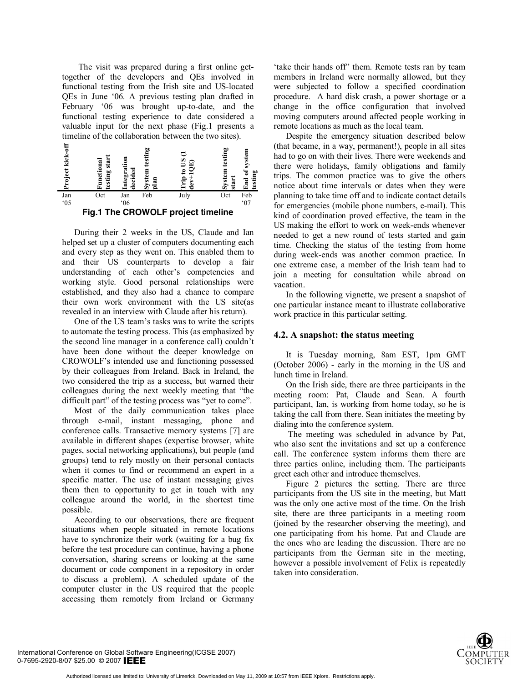The visit was prepared during a first online gettogether of the developers and QEs involved in functional testing from the Irish site and US-located QEs in June '06. A previous testing plan drafted in February '06 was brought up-to-date, and the functional testing experience to date considered a valuable input for the next phase (Fig.1 presents a timeline of the collaboration between the two sites).



During their 2 weeks in the US, Claude and Ian helped set up a cluster of computers documenting each and every step as they went on. This enabled them to and their US counterparts to develop a fair understanding of each other's competencies and working style. Good personal relationships were established, and they also had a chance to compare their own work environment with the US site(as revealed in an interview with Claude after his return).

One of the US team's tasks was to write the scripts to automate the testing process. This (as emphasized by the second line manager in a conference call) couldn't have been done without the deeper knowledge on CROWOLF's intended use and functioning possessed by their colleagues from Ireland. Back in Ireland, the two considered the trip as a success, but warned their colleagues during the next weekly meeting that "the difficult part" of the testing process was "yet to come".

Most of the daily communication takes place through e-mail, instant messaging, phone and conference calls. Transactive memory systems [7] are available in different shapes (expertise browser, white pages, social networking applications), but people (and groups) tend to rely mostly on their personal contacts when it comes to find or recommend an expert in a specific matter. The use of instant messaging gives them then to opportunity to get in touch with any colleague around the world, in the shortest time possible.

According to our observations, there are frequent situations when people situated in remote locations have to synchronize their work (waiting for a bug fix before the test procedure can continue, having a phone conversation, sharing screens or looking at the same document or code component in a repository in order to discuss a problem). A scheduled update of the computer cluster in the US required that the people accessing them remotely from Ireland or Germany

'take their hands off" them. Remote tests ran by team members in Ireland were normally allowed, but they were subjected to follow a specified coordination procedure. A hard disk crash, a power shortage or a change in the office configuration that involved moving computers around affected people working in remote locations as much as the local team.

Despite the emergency situation described below (that became, in a way, permanent!), people in all sites had to go on with their lives. There were weekends and there were holidays, family obligations and family trips. The common practice was to give the others notice about time intervals or dates when they were planning to take time off and to indicate contact details for emergencies (mobile phone numbers, e-mail). This kind of coordination proved effective, the team in the US making the effort to work on week-ends whenever needed to get a new round of tests started and gain time. Checking the status of the testing from home during week-ends was another common practice. In one extreme case, a member of the Irish team had to join a meeting for consultation while abroad on vacation.

In the following vignette, we present a snapshot of one particular instance meant to illustrate collaborative work practice in this particular setting.

#### **4.2. A snapshot: the status meeting**

It is Tuesday morning, 8am EST, 1pm GMT (October 2006) - early in the morning in the US and lunch time in Ireland.

On the Irish side, there are three participants in the meeting room: Pat, Claude and Sean. A fourth participant, Ian, is working from home today, so he is taking the call from there. Sean initiates the meeting by dialing into the conference system.

 The meeting was scheduled in advance by Pat, who also sent the invitations and set up a conference call. The conference system informs them there are three parties online, including them. The participants greet each other and introduce themselves.

Figure 2 pictures the setting. There are three participants from the US site in the meeting, but Matt was the only one active most of the time. On the Irish site, there are three participants in a meeting room (joined by the researcher observing the meeting), and one participating from his home. Pat and Claude are the ones who are leading the discussion. There are no participants from the German site in the meeting, however a possible involvement of Felix is repeatedly taken into consideration.

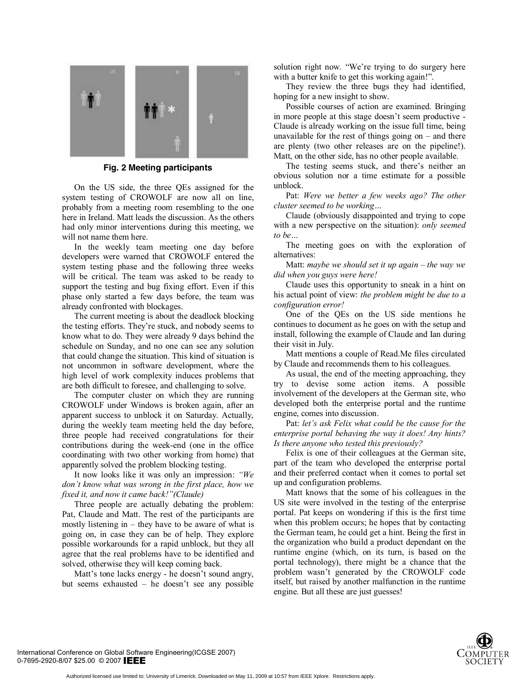

**Fig. 2 Meeting participants** 

On the US side, the three QEs assigned for the system testing of CROWOLF are now all on line, probably from a meeting room resembling to the one here in Ireland. Matt leads the discussion. As the others had only minor interventions during this meeting, we will not name them here.

In the weekly team meeting one day before developers were warned that CROWOLF entered the system testing phase and the following three weeks will be critical. The team was asked to be ready to support the testing and bug fixing effort. Even if this phase only started a few days before, the team was already confronted with blockages.

The current meeting is about the deadlock blocking the testing efforts. They're stuck, and nobody seems to know what to do. They were already 9 days behind the schedule on Sunday, and no one can see any solution that could change the situation. This kind of situation is not uncommon in software development, where the high level of work complexity induces problems that are both difficult to foresee, and challenging to solve.

The computer cluster on which they are running CROWOLF under Windows is broken again, after an apparent success to unblock it on Saturday. Actually, during the weekly team meeting held the day before, three people had received congratulations for their contributions during the week-end (one in the office coordinating with two other working from home) that apparently solved the problem blocking testing.

It now looks like it was only an impression: *"We don't know what was wrong in the first place, how we fixed it, and now it came back!"(Claude)*

Three people are actually debating the problem: Pat, Claude and Matt. The rest of the participants are mostly listening in – they have to be aware of what is going on, in case they can be of help. They explore possible workarounds for a rapid unblock, but they all agree that the real problems have to be identified and solved, otherwise they will keep coming back.

Matt's tone lacks energy - he doesn't sound angry, but seems exhausted – he doesn't see any possible solution right now. "We're trying to do surgery here with a butter knife to get this working again!".

They review the three bugs they had identified, hoping for a new insight to show.

Possible courses of action are examined. Bringing in more people at this stage doesn't seem productive - Claude is already working on the issue full time, being unavailable for the rest of things going on  $-$  and there are plenty (two other releases are on the pipeline!). Matt, on the other side, has no other people available.

The testing seems stuck, and there's neither an obvious solution nor a time estimate for a possible unblock.

Pat: *Were we better a few weeks ago? The other cluster seemed to be working…*

Claude (obviously disappointed and trying to cope with a new perspective on the situation): *only seemed to be…*

The meeting goes on with the exploration of alternatives:

Matt: *maybe we should set it up again – the way we did when you guys were here!*

Claude uses this opportunity to sneak in a hint on his actual point of view: *the problem might be due to a configuration error!* 

One of the QEs on the US side mentions he continues to document as he goes on with the setup and install, following the example of Claude and Ian during their visit in July.

Matt mentions a couple of Read.Me files circulated by Claude and recommends them to his colleagues.

As usual, the end of the meeting approaching, they try to devise some action items. A possible involvement of the developers at the German site, who developed both the enterprise portal and the runtime engine, comes into discussion.

Pat: *let's ask Felix what could be the cause for the enterprise portal behaving the way it does! Any hints? Is there anyone who tested this previously?* 

Felix is one of their colleagues at the German site, part of the team who developed the enterprise portal and their preferred contact when it comes to portal set up and configuration problems.

Matt knows that the some of his colleagues in the US site were involved in the testing of the enterprise portal. Pat keeps on wondering if this is the first time when this problem occurs; he hopes that by contacting the German team, he could get a hint. Being the first in the organization who build a product dependant on the runtime engine (which, on its turn, is based on the portal technology), there might be a chance that the problem wasn't generated by the CROWOLF code itself, but raised by another malfunction in the runtime engine. But all these are just guesses!

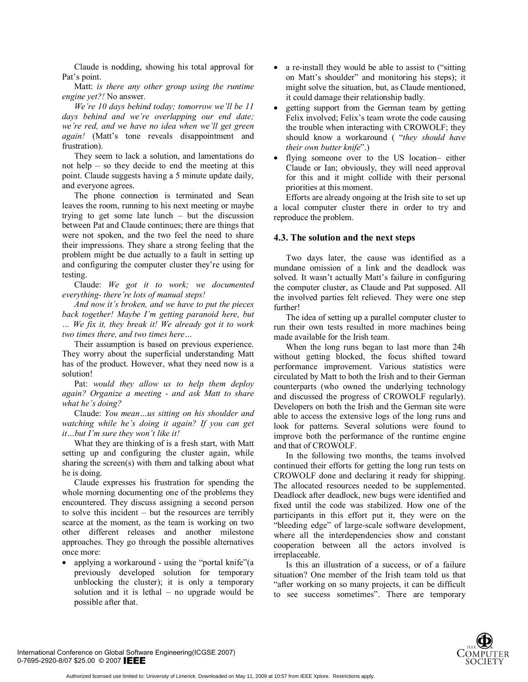Claude is nodding, showing his total approval for Pat's point.

Matt: *is there any other group using the runtime engine yet?!* No answer.

*We're 10 days behind today; tomorrow we'll be 11 days behind and we're overlapping our end date; we're red, and we have no idea when we'll get green again!* (Matt's tone reveals disappointment and frustration).

They seem to lack a solution, and lamentations do not help – so they decide to end the meeting at this point. Claude suggests having a 5 minute update daily, and everyone agrees.

The phone connection is terminated and Sean leaves the room, running to his next meeting or maybe trying to get some late lunch – but the discussion between Pat and Claude continues; there are things that were not spoken, and the two feel the need to share their impressions. They share a strong feeling that the problem might be due actually to a fault in setting up and configuring the computer cluster they're using for testing.

Claude: *We got it to work; we documented everything- there're lots of manual steps!* 

*And now it's broken, and we have to put the pieces back together! Maybe I'm getting paranoid here, but … We fix it, they break it! We already got it to work* 

*two times there, and two times here…* 

Their assumption is based on previous experience. They worry about the superficial understanding Matt has of the product. However, what they need now is a solution!

Pat: *would they allow us to help them deploy again? Organize a meeting - and ask Matt to share what he's doing?*

Claude: *You mean…us sitting on his shoulder and watching while he's doing it again? If you can get it…but I'm sure they won't like it!* 

What they are thinking of is a fresh start, with Matt setting up and configuring the cluster again, while sharing the screen(s) with them and talking about what he is doing.

Claude expresses his frustration for spending the whole morning documenting one of the problems they encountered. They discuss assigning a second person to solve this incident – but the resources are terribly scarce at the moment, as the team is working on two other different releases and another milestone approaches. They go through the possible alternatives once more:

applying a workaround - using the "portal knife"(a previously developed solution for temporary unblocking the cluster); it is only a temporary solution and it is lethal – no upgrade would be possible after that.

- a re-install they would be able to assist to ("sitting" on Matt's shoulder" and monitoring his steps); it might solve the situation, but, as Claude mentioned, it could damage their relationship badly.
- getting support from the German team by getting Felix involved; Felix's team wrote the code causing the trouble when interacting with CROWOLF; they should know a workaround ( "*they should have their own butter knife*".)
- flying someone over to the US location– either Claude or Ian; obviously, they will need approval for this and it might collide with their personal priorities at this moment.

Efforts are already ongoing at the Irish site to set up a local computer cluster there in order to try and reproduce the problem.

#### **4.3. The solution and the next steps**

Two days later, the cause was identified as a mundane omission of a link and the deadlock was solved. It wasn't actually Matt's failure in configuring the computer cluster, as Claude and Pat supposed. All the involved parties felt relieved. They were one step further!

The idea of setting up a parallel computer cluster to run their own tests resulted in more machines being made available for the Irish team.

When the long runs began to last more than 24h without getting blocked, the focus shifted toward performance improvement. Various statistics were circulated by Matt to both the Irish and to their German counterparts (who owned the underlying technology and discussed the progress of CROWOLF regularly). Developers on both the Irish and the German site were able to access the extensive logs of the long runs and look for patterns. Several solutions were found to improve both the performance of the runtime engine and that of CROWOLF.

In the following two months, the teams involved continued their efforts for getting the long run tests on CROWOLF done and declaring it ready for shipping. The allocated resources needed to be supplemented. Deadlock after deadlock, new bugs were identified and fixed until the code was stabilized. How one of the participants in this effort put it, they were on the "bleeding edge" of large-scale software development, where all the interdependencies show and constant cooperation between all the actors involved is irreplaceable.

Is this an illustration of a success, or of a failure situation? One member of the Irish team told us that "after working on so many projects, it can be difficult to see success sometimes". There are temporary

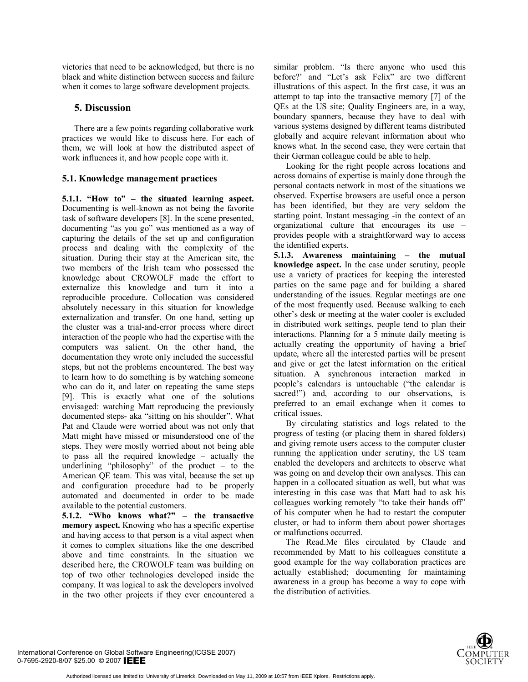victories that need to be acknowledged, but there is no black and white distinction between success and failure when it comes to large software development projects.

# **5. Discussion**

There are a few points regarding collaborative work practices we would like to discuss here. For each of them, we will look at how the distributed aspect of work influences it, and how people cope with it.

# **5.1. Knowledge management practices**

**5.1.1. "How to" – the situated learning aspect.**  Documenting is well-known as not being the favorite task of software developers [8]. In the scene presented, documenting "as you go" was mentioned as a way of capturing the details of the set up and configuration process and dealing with the complexity of the situation. During their stay at the American site, the two members of the Irish team who possessed the knowledge about CROWOLF made the effort to externalize this knowledge and turn it into a reproducible procedure. Collocation was considered absolutely necessary in this situation for knowledge externalization and transfer. On one hand, setting up the cluster was a trial-and-error process where direct interaction of the people who had the expertise with the computers was salient. On the other hand, the documentation they wrote only included the successful steps, but not the problems encountered. The best way to learn how to do something is by watching someone who can do it, and later on repeating the same steps [9]. This is exactly what one of the solutions envisaged: watching Matt reproducing the previously documented steps- aka "sitting on his shoulder". What Pat and Claude were worried about was not only that Matt might have missed or misunderstood one of the steps. They were mostly worried about not being able to pass all the required knowledge – actually the underlining "philosophy" of the product  $-$  to the American QE team. This was vital, because the set up and configuration procedure had to be properly automated and documented in order to be made available to the potential customers.

**5.1.2. "Who knows what?" – the transactive memory aspect.** Knowing who has a specific expertise and having access to that person is a vital aspect when it comes to complex situations like the one described above and time constraints. In the situation we described here, the CROWOLF team was building on top of two other technologies developed inside the company. It was logical to ask the developers involved in the two other projects if they ever encountered a similar problem. "Is there anyone who used this before?' and "Let's ask Felix" are two different illustrations of this aspect. In the first case, it was an attempt to tap into the transactive memory [7] of the QEs at the US site; Quality Engineers are, in a way, boundary spanners, because they have to deal with various systems designed by different teams distributed globally and acquire relevant information about who knows what. In the second case, they were certain that their German colleague could be able to help.

Looking for the right people across locations and across domains of expertise is mainly done through the personal contacts network in most of the situations we observed. Expertise browsers are useful once a person has been identified, but they are very seldom the starting point. Instant messaging -in the context of an organizational culture that encourages its use – provides people with a straightforward way to access the identified experts.

**5.1.3. Awareness maintaining – the mutual knowledge aspect.** In the case under scrutiny, people use a variety of practices for keeping the interested parties on the same page and for building a shared understanding of the issues. Regular meetings are one of the most frequently used. Because walking to each other's desk or meeting at the water cooler is excluded in distributed work settings, people tend to plan their interactions. Planning for a 5 minute daily meeting is actually creating the opportunity of having a brief update, where all the interested parties will be present and give or get the latest information on the critical situation. A synchronous interaction marked in people's calendars is untouchable ("the calendar is sacred!") and, according to our observations, is preferred to an email exchange when it comes to critical issues.

By circulating statistics and logs related to the progress of testing (or placing them in shared folders) and giving remote users access to the computer cluster running the application under scrutiny, the US team enabled the developers and architects to observe what was going on and develop their own analyses. This can happen in a collocated situation as well, but what was interesting in this case was that Matt had to ask his colleagues working remotely "to take their hands off" of his computer when he had to restart the computer cluster, or had to inform them about power shortages or malfunctions occurred.

The Read.Me files circulated by Claude and recommended by Matt to his colleagues constitute a good example for the way collaboration practices are actually established; documenting for maintaining awareness in a group has become a way to cope with the distribution of activities.

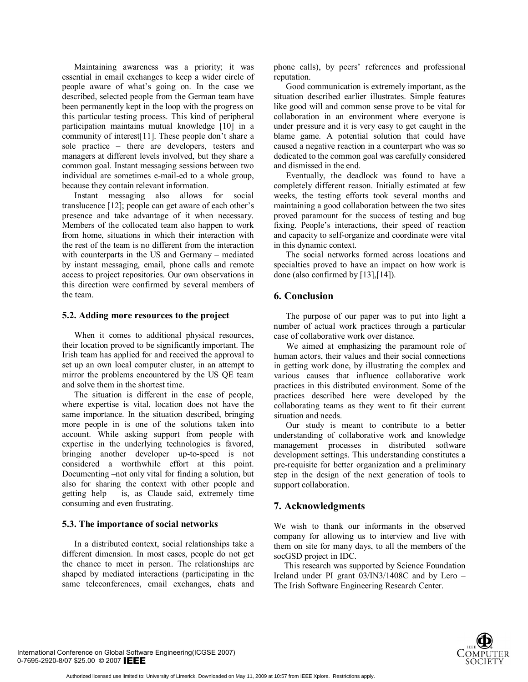Maintaining awareness was a priority; it was essential in email exchanges to keep a wider circle of people aware of what's going on. In the case we described, selected people from the German team have been permanently kept in the loop with the progress on this particular testing process. This kind of peripheral participation maintains mutual knowledge [10] in a community of interest[11]. These people don't share a sole practice – there are developers, testers and managers at different levels involved, but they share a common goal. Instant messaging sessions between two individual are sometimes e-mail-ed to a whole group, because they contain relevant information.

Instant messaging also allows for social translucence [12]; people can get aware of each other's presence and take advantage of it when necessary. Members of the collocated team also happen to work from home, situations in which their interaction with the rest of the team is no different from the interaction with counterparts in the US and Germany – mediated by instant messaging, email, phone calls and remote access to project repositories. Our own observations in this direction were confirmed by several members of the team.

#### **5.2. Adding more resources to the project**

When it comes to additional physical resources, their location proved to be significantly important. The Irish team has applied for and received the approval to set up an own local computer cluster, in an attempt to mirror the problems encountered by the US QE team and solve them in the shortest time.

The situation is different in the case of people, where expertise is vital, location does not have the same importance. In the situation described, bringing more people in is one of the solutions taken into account. While asking support from people with expertise in the underlying technologies is favored, bringing another developer up-to-speed is not considered a worthwhile effort at this point. Documenting –not only vital for finding a solution, but also for sharing the context with other people and getting help – is, as Claude said, extremely time consuming and even frustrating.

#### **5.3. The importance of social networks**

In a distributed context, social relationships take a different dimension. In most cases, people do not get the chance to meet in person. The relationships are shaped by mediated interactions (participating in the same teleconferences, email exchanges, chats and

phone calls), by peers' references and professional reputation.

Good communication is extremely important, as the situation described earlier illustrates. Simple features like good will and common sense prove to be vital for collaboration in an environment where everyone is under pressure and it is very easy to get caught in the blame game. A potential solution that could have caused a negative reaction in a counterpart who was so dedicated to the common goal was carefully considered and dismissed in the end.

Eventually, the deadlock was found to have a completely different reason. Initially estimated at few weeks, the testing efforts took several months and maintaining a good collaboration between the two sites proved paramount for the success of testing and bug fixing. People's interactions, their speed of reaction and capacity to self-organize and coordinate were vital in this dynamic context.

The social networks formed across locations and specialties proved to have an impact on how work is done (also confirmed by [13],[14]).

# **6. Conclusion**

The purpose of our paper was to put into light a number of actual work practices through a particular case of collaborative work over distance.

We aimed at emphasizing the paramount role of human actors, their values and their social connections in getting work done, by illustrating the complex and various causes that influence collaborative work practices in this distributed environment. Some of the practices described here were developed by the collaborating teams as they went to fit their current situation and needs.

Our study is meant to contribute to a better understanding of collaborative work and knowledge management processes in distributed software development settings. This understanding constitutes a pre-requisite for better organization and a preliminary step in the design of the next generation of tools to support collaboration.

# **7. Acknowledgments**

We wish to thank our informants in the observed company for allowing us to interview and live with them on site for many days, to all the members of the socGSD project in IDC.

This research was supported by Science Foundation Ireland under PI grant 03/IN3/1408C and by Lero – The Irish Software Engineering Research Center.